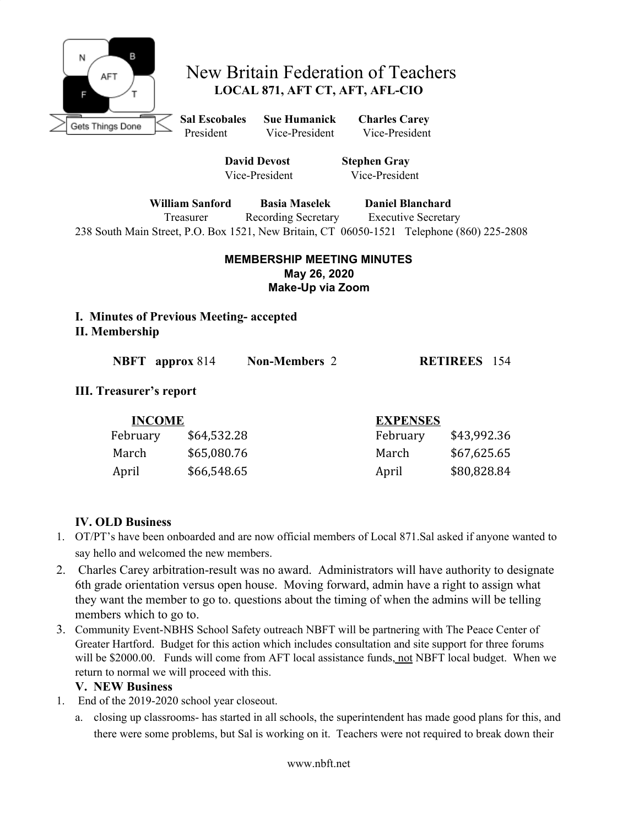

# New Britain Federation of Teachers **LOCAL 871, AFT CT, AFT, AFL-CIO**

**Sal Escobales Sue Humanick Charles Carey** President Vice-President Vice-President

> **David Devost Stephen Gray** Vice-President Vice-President

**William Sanford Basia Maselek Daniel Blanchard** Treasurer Recording Secretary Executive Secretary 238 South Main Street, P.O. Box 1521, New Britain, CT 06050-1521 Telephone (860) 225-2808

### **MEMBERSHIP MEETING MINUTES May 26, 2020 Make-Up via Zoom**

**I. Minutes of Previous Meeting- accepted II. Membership**

| <b>NBFT</b> approx 814 | <b>Non-Members 2</b> | <b>RETIREES</b> 154 |  |
|------------------------|----------------------|---------------------|--|
|                        |                      |                     |  |

### **III. Treasurer's report**

| <b>INCOME</b> |             | <b>EXPENSES</b> |             |
|---------------|-------------|-----------------|-------------|
| February      | \$64,532.28 | February        | \$43,992.36 |
| March         | \$65,080.76 | March           | \$67,625.65 |
| April         | \$66,548.65 | April           | \$80,828.84 |

## **IV. OLD Business**

- 1. OT/PT's have been onboarded and are now official members of Local 871.Sal asked if anyone wanted to say hello and welcomed the new members.
- 2. Charles Carey arbitration-result was no award. Administrators will have authority to designate 6th grade orientation versus open house. Moving forward, admin have a right to assign what they want the member to go to. questions about the timing of when the admins will be telling members which to go to.
- 3. Community Event-NBHS School Safety outreach NBFT will be partnering with The Peace Center of Greater Hartford. Budget for this action which includes consultation and site support for three forums will be \$2000.00. Funds will come from AFT local assistance funds, not NBFT local budget. When we return to normal we will proceed with this.

### **V. NEW Business**

- 1. End of the 2019-2020 school year closeout.
	- a. closing up classrooms- has started in all schools, the superintendent has made good plans for this, and there were some problems, but Sal is working on it. Teachers were not required to break down their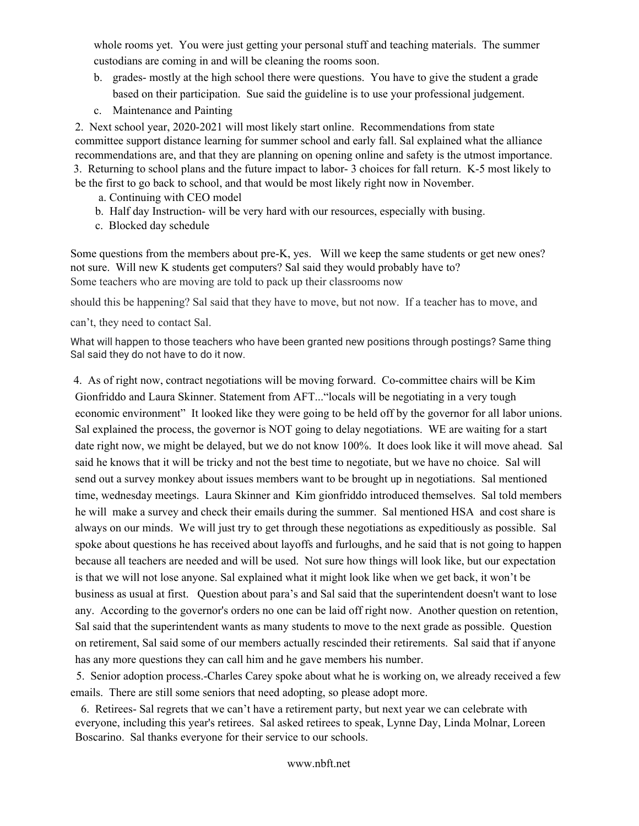whole rooms yet. You were just getting your personal stuff and teaching materials. The summer custodians are coming in and will be cleaning the rooms soon.

- b. grades- mostly at the high school there were questions. You have to give the student a grade based on their participation. Sue said the guideline is to use your professional judgement.
- c. Maintenance and Painting

2. Next school year, 2020-2021 will most likely start online. Recommendations from state committee support distance learning for summer school and early fall. Sal explained what the alliance recommendations are, and that they are planning on opening online and safety is the utmost importance. 3. Returning to school plans and the future impact to labor- 3 choices for fall return. K-5 most likely to be the first to go back to school, and that would be most likely right now in November.

- a. Continuing with CEO model
- b. Half day Instruction- will be very hard with our resources, especially with busing.
- c. Blocked day schedule

Some questions from the members about pre-K, yes. Will we keep the same students or get new ones? not sure. Will new K students get computers? Sal said they would probably have to? Some teachers who are moving are told to pack up their classrooms now

should this be happening? Sal said that they have to move, but not now. If a teacher has to move, and

can't, they need to contact Sal.

What will happen to those teachers who have been granted new positions through postings? Same thing Sal said they do not have to do it now.

4. As of right now, contract negotiations will be moving forward. Co-committee chairs will be Kim Gionfriddo and Laura Skinner. Statement from AFT..."locals will be negotiating in a very tough economic environment" It looked like they were going to be held off by the governor for all labor unions. Sal explained the process, the governor is NOT going to delay negotiations. WE are waiting for a start date right now, we might be delayed, but we do not know 100%. It does look like it will move ahead. Sal said he knows that it will be tricky and not the best time to negotiate, but we have no choice. Sal will send out a survey monkey about issues members want to be brought up in negotiations. Sal mentioned time, wednesday meetings. Laura Skinner and Kim gionfriddo introduced themselves. Sal told members he will make a survey and check their emails during the summer. Sal mentioned HSA and cost share is always on our minds. We will just try to get through these negotiations as expeditiously as possible. Sal spoke about questions he has received about layoffs and furloughs, and he said that is not going to happen because all teachers are needed and will be used. Not sure how things will look like, but our expectation is that we will not lose anyone. Sal explained what it might look like when we get back, it won't be business as usual at first. Question about para's and Sal said that the superintendent doesn't want to lose any. According to the governor's orders no one can be laid off right now. Another question on retention, Sal said that the superintendent wants as many students to move to the next grade as possible. Question on retirement, Sal said some of our members actually rescinded their retirements. Sal said that if anyone has any more questions they can call him and he gave members his number.

5. Senior adoption process.-Charles Carey spoke about what he is working on, we already received a few emails. There are still some seniors that need adopting, so please adopt more.

6. Retirees- Sal regrets that we can't have a retirement party, but next year we can celebrate with everyone, including this year's retirees. Sal asked retirees to speak, Lynne Day, Linda Molnar, Loreen Boscarino. Sal thanks everyone for their service to our schools.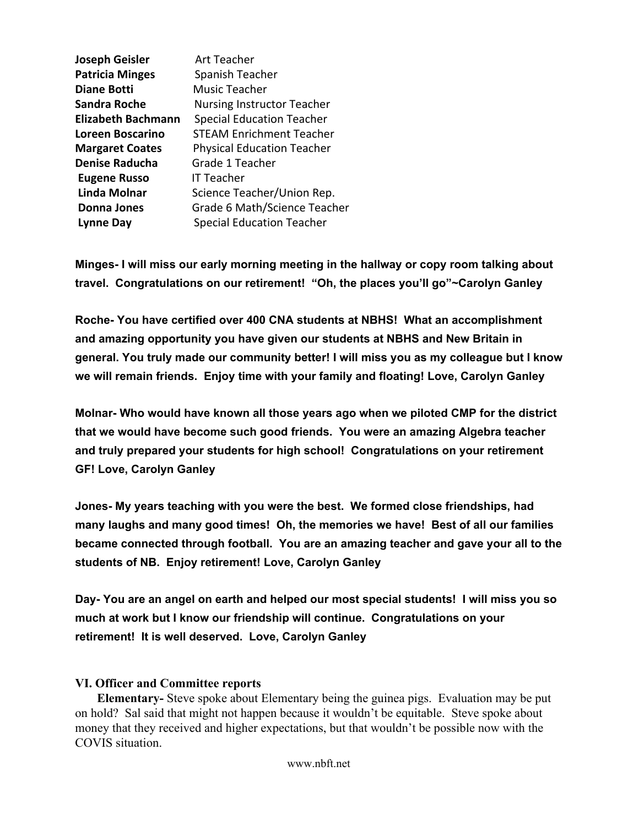| Art Teacher                       |
|-----------------------------------|
| Spanish Teacher                   |
| Music Teacher                     |
| <b>Nursing Instructor Teacher</b> |
| <b>Special Education Teacher</b>  |
| <b>STEAM Enrichment Teacher</b>   |
| <b>Physical Education Teacher</b> |
| Grade 1 Teacher                   |
| IT Teacher                        |
| Science Teacher/Union Rep.        |
| Grade 6 Math/Science Teacher      |
| <b>Special Education Teacher</b>  |
|                                   |

**Minges- I will miss our early morning meeting in the hallway or copy room talking about travel. Congratulations on our retirement! "Oh, the places you'll go"~Carolyn Ganley**

**Roche- You have certified over 400 CNA students at NBHS! What an accomplishment and amazing opportunity you have given our students at NBHS and New Britain in general. You truly made our community better! I will miss you as my colleague but I know we will remain friends. Enjoy time with your family and floating! Love, Carolyn Ganley**

**Molnar- Who would have known all those years ago when we piloted CMP for the district that we would have become such good friends. You were an amazing Algebra teacher and truly prepared your students for high school! Congratulations on your retirement GF! Love, Carolyn Ganley**

**Jones- My years teaching with you were the best. We formed close friendships, had many laughs and many good times! Oh, the memories we have! Best of all our families became connected through football. You are an amazing teacher and gave your all to the students of NB. Enjoy retirement! Love, Carolyn Ganley**

**Day- You are an angel on earth and helped our most special students! I will miss you so much at work but I know our friendship will continue. Congratulations on your retirement! It is well deserved. Love, Carolyn Ganley**

### **VI. Officer and Committee reports**

 **Elementary-** Steve spoke about Elementary being the guinea pigs.Evaluation may be put on hold? Sal said that might not happen because it wouldn't be equitable. Steve spoke about money that they received and higher expectations, but that wouldn't be possible now with the COVIS situation.